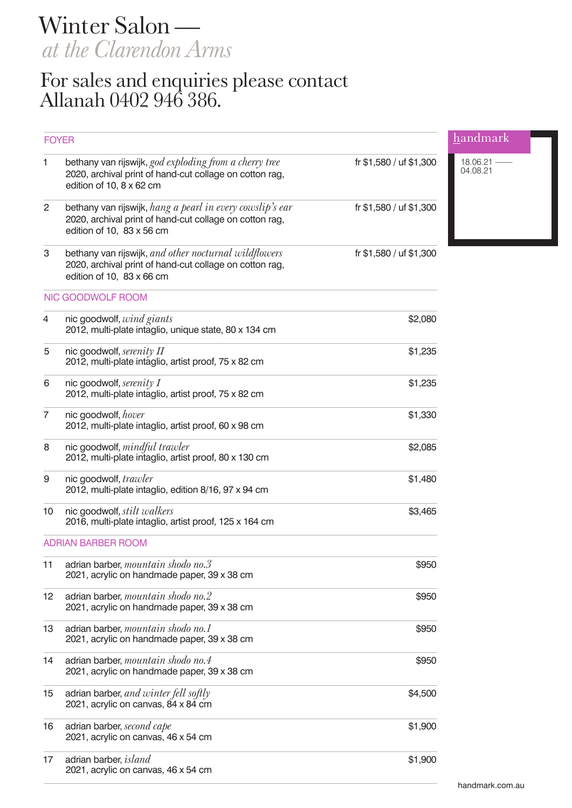Winter Salon *at the Clarendon Arms*

## For sales and enquiries please contact Allanah 0402 946 386.

| <b>FOYER</b>              |                                                                                                                                                      |                         | handmark               |
|---------------------------|------------------------------------------------------------------------------------------------------------------------------------------------------|-------------------------|------------------------|
| 1                         | bethany van rijswijk, god exploding from a cherry tree<br>2020, archival print of hand-cut collage on cotton rag,<br>edition of 10, 8 x 62 cm        | fr \$1,580 / uf \$1,300 | 18.06.21 -<br>04.08.21 |
| 2                         | bethany van rijswijk, hang a pearl in every cowslip's ear<br>2020, archival print of hand-cut collage on cotton rag,<br>edition of 10, 83 x 56 cm    | fr \$1,580 / uf \$1,300 |                        |
| $\ensuremath{\mathsf{3}}$ | bethany van rijswijk, and other nocturnal wildflowers<br>2020, archival print of hand-cut collage on cotton rag,<br>edition of 10, $83 \times 66$ cm | fr \$1,580 / uf \$1,300 |                        |
|                           | NIC GOODWOLF ROOM                                                                                                                                    |                         |                        |
| 4                         | nic goodwolf, wind giants<br>2012, multi-plate intaglio, unique state, 80 x 134 cm                                                                   | \$2,080                 |                        |
| 5                         | nic goodwolf, serenity II<br>2012, multi-plate intaglio, artist proof, 75 x 82 cm                                                                    | \$1,235                 |                        |
| 6                         | nic goodwolf, serenity $I$<br>2012, multi-plate intaglio, artist proof, 75 x 82 cm                                                                   | \$1,235                 |                        |
| $\overline{7}$            | nic goodwolf, hover<br>2012, multi-plate intaglio, artist proof, 60 x 98 cm                                                                          | \$1,330                 |                        |
| 8                         | nic goodwolf, mindful trawler<br>2012, multi-plate intaglio, artist proof, 80 x 130 cm                                                               | \$2,085                 |                        |
| 9                         | nic goodwolf, trawler<br>2012, multi-plate intaglio, edition 8/16, 97 x 94 cm                                                                        | \$1,480                 |                        |
| 10                        | nic goodwolf, <i>stilt walkers</i><br>2016, multi-plate intaglio, artist proof, 125 x 164 cm                                                         | \$3,465                 |                        |
|                           | <b>ADRIAN BARBER ROOM</b>                                                                                                                            |                         |                        |
| 11                        | adrian barber, mountain shodo no.3<br>2021, acrylic on handmade paper, 39 x 38 cm                                                                    | \$950                   |                        |
| 12                        | adrian barber, mountain shodo no.2<br>2021, acrylic on handmade paper, 39 x 38 cm                                                                    | \$950                   |                        |
| 13                        | adrian barber, mountain shodo no.1<br>2021, acrylic on handmade paper, 39 x 38 cm                                                                    | \$950                   |                        |
| 14                        | adrian barber, mountain shodo no.4<br>2021, acrylic on handmade paper, 39 x 38 cm                                                                    | \$950                   |                        |
| 15                        | adrian barber, and winter fell softly<br>2021, acrylic on canvas, 84 x 84 cm                                                                         | \$4,500                 |                        |
| 16                        | adrian barber, second cape<br>2021, acrylic on canvas, 46 x 54 cm                                                                                    | \$1,900                 |                        |
| 17                        | adrian barber, <i>island</i><br>2021, acrylic on canvas, 46 x 54 cm                                                                                  | \$1,900                 |                        |